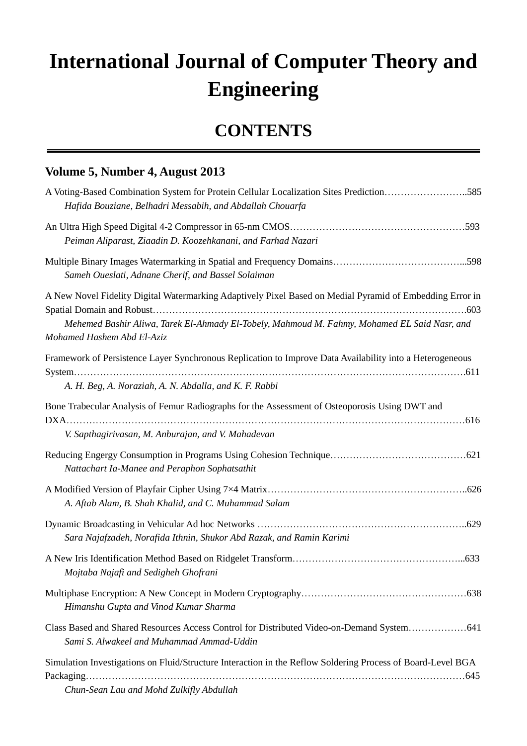## **International Journal of Computer Theory and Engineering**

## **CONTENTS**

## **Volume 5, Number 4, August 2013**

| A Voting-Based Combination System for Protein Cellular Localization Sites Prediction585<br>Hafida Bouziane, Belhadri Messabih, and Abdallah Chouarfa                                                                                   |
|----------------------------------------------------------------------------------------------------------------------------------------------------------------------------------------------------------------------------------------|
| Peiman Aliparast, Ziaadin D. Koozehkanani, and Farhad Nazari                                                                                                                                                                           |
| Sameh Oueslati, Adnane Cherif, and Bassel Solaiman                                                                                                                                                                                     |
| A New Novel Fidelity Digital Watermarking Adaptively Pixel Based on Medial Pyramid of Embedding Error in<br>Mehemed Bashir Aliwa, Tarek El-Ahmady El-Tobely, Mahmoud M. Fahmy, Mohamed EL Said Nasr, and<br>Mohamed Hashem Abd El-Aziz |
| Framework of Persistence Layer Synchronous Replication to Improve Data Availability into a Heterogeneous<br>A. H. Beg, A. Noraziah, A. N. Abdalla, and K. F. Rabbi                                                                     |
| Bone Trabecular Analysis of Femur Radiographs for the Assessment of Osteoporosis Using DWT and<br>V. Sapthagirivasan, M. Anburajan, and V. Mahadevan                                                                                   |
| Nattachart Ia-Manee and Peraphon Sophatsathit                                                                                                                                                                                          |
| A. Aftab Alam, B. Shah Khalid, and C. Muhammad Salam                                                                                                                                                                                   |
| Sara Najafzadeh, Norafida Ithnin, Shukor Abd Razak, and Ramin Karimi                                                                                                                                                                   |
| Mojtaba Najafi and Sedigheh Ghofrani                                                                                                                                                                                                   |
| Himanshu Gupta and Vinod Kumar Sharma                                                                                                                                                                                                  |
| Class Based and Shared Resources Access Control for Distributed Video-on-Demand System 641<br>Sami S. Alwakeel and Muhammad Ammad-Uddin                                                                                                |
| Simulation Investigations on Fluid/Structure Interaction in the Reflow Soldering Process of Board-Level BGA<br>Chun-Sean Lau and Mohd Zulkifly Abdullah                                                                                |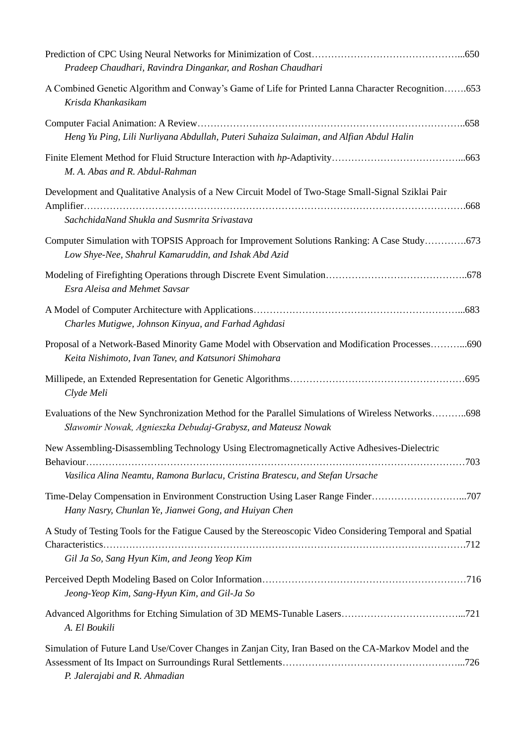| Pradeep Chaudhari, Ravindra Dingankar, and Roshan Chaudhari                                                                                                                   |  |
|-------------------------------------------------------------------------------------------------------------------------------------------------------------------------------|--|
| A Combined Genetic Algorithm and Conway's Game of Life for Printed Lanna Character Recognition653<br>Krisda Khankasikam                                                       |  |
| Heng Yu Ping, Lili Nurliyana Abdullah, Puteri Suhaiza Sulaiman, and Alfian Abdul Halin                                                                                        |  |
| M. A. Abas and R. Abdul-Rahman                                                                                                                                                |  |
| Development and Qualitative Analysis of a New Circuit Model of Two-Stage Small-Signal Sziklai Pair<br>SachchidaNand Shukla and Susmrita Srivastava                            |  |
| Computer Simulation with TOPSIS Approach for Improvement Solutions Ranking: A Case Study673<br>Low Shye-Nee, Shahrul Kamaruddin, and Ishak Abd Azid                           |  |
| <b>Esra Aleisa and Mehmet Savsar</b>                                                                                                                                          |  |
| Charles Mutigwe, Johnson Kinyua, and Farhad Aghdasi                                                                                                                           |  |
| Proposal of a Network-Based Minority Game Model with Observation and Modification Processes690<br>Keita Nishimoto, Ivan Tanev, and Katsunori Shimohara                        |  |
| Clyde Meli                                                                                                                                                                    |  |
| Evaluations of the New Synchronization Method for the Parallel Simulations of Wireless Networks698<br>Sławomir Nowak, Agnieszka Debudaj-Grabysz, and Mateusz Nowak            |  |
| New Assembling-Disassembling Technology Using Electromagnetically Active Adhesives-Dielectric<br>Vasilica Alina Neamtu, Ramona Burlacu, Cristina Bratescu, and Stefan Ursache |  |
| Time-Delay Compensation in Environment Construction Using Laser Range Finder707<br>Hany Nasry, Chunlan Ye, Jianwei Gong, and Huiyan Chen                                      |  |
| A Study of Testing Tools for the Fatigue Caused by the Stereoscopic Video Considering Temporal and Spatial<br>Gil Ja So, Sang Hyun Kim, and Jeong Yeop Kim                    |  |
| Jeong-Yeop Kim, Sang-Hyun Kim, and Gil-Ja So                                                                                                                                  |  |
| A. El Boukili                                                                                                                                                                 |  |
| Simulation of Future Land Use/Cover Changes in Zanjan City, Iran Based on the CA-Markov Model and the<br>P. Jalerajabi and R. Ahmadian                                        |  |